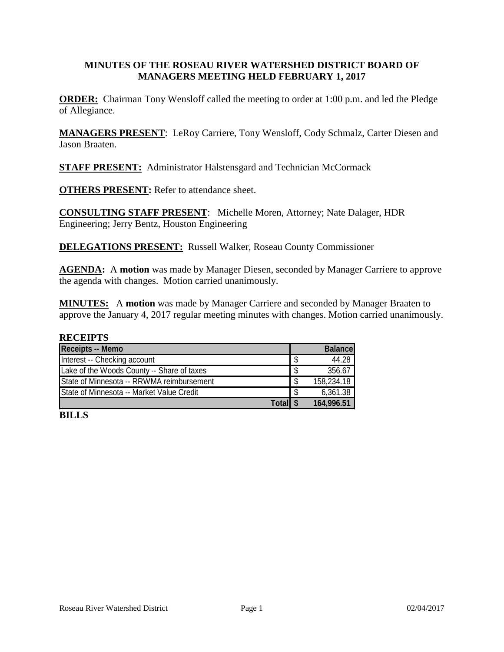# **MINUTES OF THE ROSEAU RIVER WATERSHED DISTRICT BOARD OF MANAGERS MEETING HELD FEBRUARY 1, 2017**

**ORDER:** Chairman Tony Wensloff called the meeting to order at 1:00 p.m. and led the Pledge of Allegiance.

**MANAGERS PRESENT**: LeRoy Carriere, Tony Wensloff, Cody Schmalz, Carter Diesen and Jason Braaten.

**STAFF PRESENT:** Administrator Halstensgard and Technician McCormack

**OTHERS PRESENT:** Refer to attendance sheet.

**CONSULTING STAFF PRESENT**: Michelle Moren, Attorney; Nate Dalager, HDR Engineering; Jerry Bentz, Houston Engineering

**DELEGATIONS PRESENT:** Russell Walker, Roseau County Commissioner

**AGENDA:** A motion was made by Manager Diesen, seconded by Manager Carriere to approve the agenda with changes. Motion carried unanimously.

**MINUTES:** A **motion** was made by Manager Carriere and seconded by Manager Braaten to approve the January 4, 2017 regular meeting minutes with changes. Motion carried unanimously.

#### **RECEIPTS**

| <b>Receipts -- Memo</b>                          |      | <b>Balance</b> |
|--------------------------------------------------|------|----------------|
| Interest -- Checking account                     | S    | 44.28          |
| Lake of the Woods County -- Share of taxes       | - \$ | 356.67         |
| State of Minnesota -- RRWMA reimbursement        | - \$ | 158,234.18     |
| <b>State of Minnesota -- Market Value Credit</b> | - \$ | 6,361.38       |
| <b>Totall 9</b>                                  |      | 164,996.51     |

**BILLS**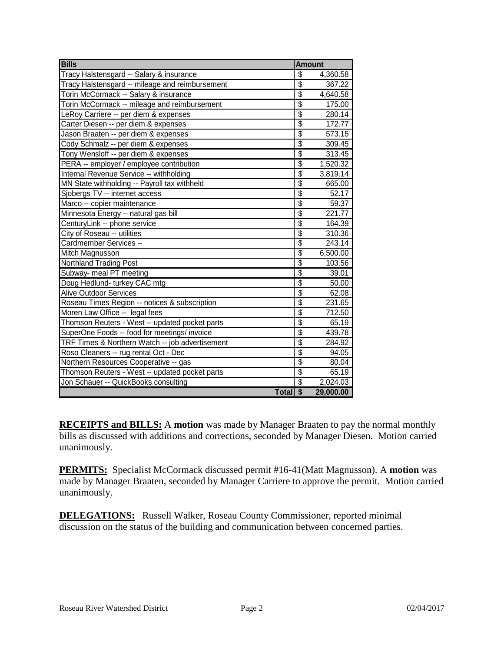| <b>Bills</b>                                    | <b>Amount</b>            |           |
|-------------------------------------------------|--------------------------|-----------|
| Tracy Halstensgard -- Salary & insurance        | $\overline{\mathcal{S}}$ | 4,360.58  |
| Tracy Halstensgard -- mileage and reimbursement | $\overline{\$}$          | 367.22    |
| Torin McCormack -- Salary & insurance           | $\overline{\$}$          | 4,640.58  |
| Torin McCormack -- mileage and reimbursement    | $\overline{\mathbb{S}}$  | 175.00    |
| LeRoy Carriere -- per diem & expenses           | $\overline{\$}$          | 280.14    |
| Carter Diesen -- per diem & expenses            | $\overline{\$}$          | 172.77    |
| Jason Braaten -- per diem & expenses            | $\overline{\$}$          | 573.15    |
| Cody Schmalz -- per diem & expenses             | $\overline{\$}$          | 309.45    |
| Tony Wensloff -- per diem & expenses            | $\overline{\$}$          | 313.45    |
| PERA -- employer / employee contribution        | $\overline{\$}$          | 1,520.32  |
| Internal Revenue Service -- withholding         | $\overline{\mathcal{S}}$ | 3,819.14  |
| MN State withholding -- Payroll tax withheld    | $\overline{\$}$          | 665.00    |
| Sjobergs TV -- internet access                  | $\overline{\$}$          | 52.17     |
| Marco -- copier maintenance                     | $\overline{\$}$          | 59.37     |
| Minnesota Energy -- natural gas bill            | $\overline{\$}$          | 221.77    |
| CenturyLink -- phone service                    | $\overline{\$}$          | 164.39    |
| City of Roseau -- utilities                     | $\overline{\$}$          | 310.36    |
| Cardmember Services --                          | $\overline{\$}$          | 243.14    |
| Mitch Magnusson                                 | $\overline{\$}$          | 6,500.00  |
| <b>Northland Trading Post</b>                   | $\overline{\$}$          | 103.56    |
| Subway- meal PT meeting                         | $\overline{\$}$          | 39.01     |
| Doug Hedlund-turkey CAC mtg                     | $\overline{\$}$          | 50.00     |
| <b>Alive Outdoor Services</b>                   | $\overline{\$}$          | 62.08     |
| Roseau Times Region -- notices & subscription   | $\overline{\$}$          | 231.65    |
| Moren Law Office -- legal fees                  | $\overline{\$}$          | 712.50    |
| Thomson Reuters - West -- updated pocket parts  | $\overline{\$}$          | 65.19     |
| SuperOne Foods -- food for meetings/ invoice    | $\overline{\$}$          | 439.78    |
| TRF Times & Northern Watch -- job advertisement | $\overline{\$}$          | 284.92    |
| Roso Cleaners -- rug rental Oct - Dec           | $\overline{\$}$          | 94.05     |
| Northern Resources Cooperative -- gas           | $\overline{\$}$          | 80.04     |
| Thomson Reuters - West -- updated pocket parts  | $\overline{\mathcal{S}}$ | 65.19     |
| Jon Schauer -- QuickBooks consulting            | $\overline{\mathcal{S}}$ | 2,024.03  |
| Total \$                                        |                          | 29,000.00 |

**RECEIPTS and BILLS:** A **motion** was made by Manager Braaten to pay the normal monthly bills as discussed with additions and corrections, seconded by Manager Diesen. Motion carried unanimously.

**PERMITS:** Specialist McCormack discussed permit #16-41(Matt Magnusson). A **motion** was made by Manager Braaten, seconded by Manager Carriere to approve the permit. Motion carried unanimously.

**DELEGATIONS:** Russell Walker, Roseau County Commissioner, reported minimal discussion on the status of the building and communication between concerned parties.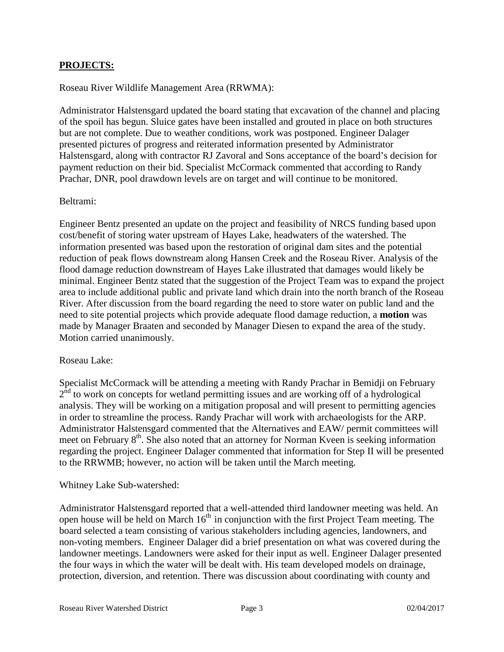### **PROJECTS:**

#### Roseau River Wildlife Management Area (RRWMA):

Administrator Halstensgard updated the board stating that excavation of the channel and placing of the spoil has begun. Sluice gates have been installed and grouted in place on both structures but are not complete. Due to weather conditions, work was postponed. Engineer Dalager presented pictures of progress and reiterated information presented by Administrator Halstensgard, along with contractor RJ Zavoral and Sons acceptance of the board's decision for payment reduction on their bid. Specialist McCormack commented that according to Randy Prachar, DNR, pool drawdown levels are on target and will continue to be monitored.

#### Beltrami:

Engineer Bentz presented an update on the project and feasibility of NRCS funding based upon cost/benefit of storing water upstream of Hayes Lake, headwaters of the watershed. The information presented was based upon the restoration of original dam sites and the potential reduction of peak flows downstream along Hansen Creek and the Roseau River. Analysis of the flood damage reduction downstream of Hayes Lake illustrated that damages would likely be minimal. Engineer Bentz stated that the suggestion of the Project Team was to expand the project area to include additional public and private land which drain into the north branch of the Roseau River. After discussion from the board regarding the need to store water on public land and the need to site potential projects which provide adequate flood damage reduction, a **motion** was made by Manager Braaten and seconded by Manager Diesen to expand the area of the study. Motion carried unanimously.

#### Roseau Lake:

Specialist McCormack will be attending a meeting with Randy Prachar in Bemidji on February  $2<sup>nd</sup>$  to work on concepts for wetland permitting issues and are working off of a hydrological analysis. They will be working on a mitigation proposal and will present to permitting agencies in order to streamline the process. Randy Prachar will work with archaeologists for the ARP. Administrator Halstensgard commented that the Alternatives and EAW/ permit committees will meet on February 8<sup>th</sup>. She also noted that an attorney for Norman Kveen is seeking information regarding the project. Engineer Dalager commented that information for Step II will be presented to the RRWMB; however, no action will be taken until the March meeting.

#### Whitney Lake Sub-watershed:

Administrator Halstensgard reported that a well-attended third landowner meeting was held. An open house will be held on March  $16<sup>th</sup>$  in conjunction with the first Project Team meeting. The board selected a team consisting of various stakeholders including agencies, landowners, and non-voting members. Engineer Dalager did a brief presentation on what was covered during the landowner meetings. Landowners were asked for their input as well. Engineer Dalager presented the four ways in which the water will be dealt with. His team developed models on drainage, protection, diversion, and retention. There was discussion about coordinating with county and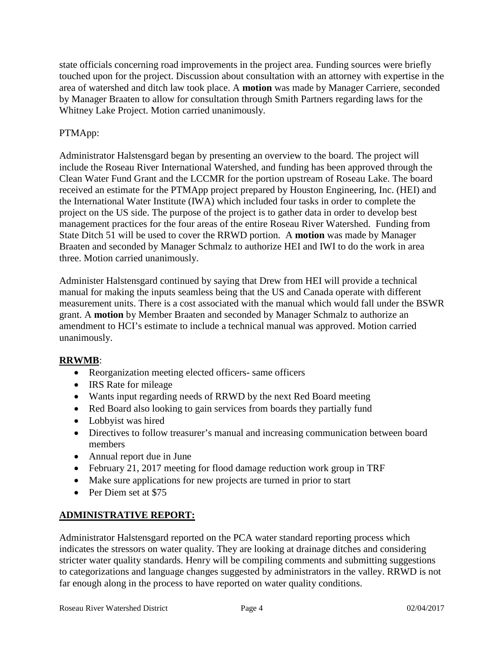state officials concerning road improvements in the project area. Funding sources were briefly touched upon for the project. Discussion about consultation with an attorney with expertise in the area of watershed and ditch law took place. A **motion** was made by Manager Carriere, seconded by Manager Braaten to allow for consultation through Smith Partners regarding laws for the Whitney Lake Project. Motion carried unanimously.

# PTMApp:

Administrator Halstensgard began by presenting an overview to the board. The project will include the Roseau River International Watershed, and funding has been approved through the Clean Water Fund Grant and the LCCMR for the portion upstream of Roseau Lake. The board received an estimate for the PTMApp project prepared by Houston Engineering, Inc. (HEI) and the International Water Institute (IWA) which included four tasks in order to complete the project on the US side. The purpose of the project is to gather data in order to develop best management practices for the four areas of the entire Roseau River Watershed. Funding from State Ditch 51 will be used to cover the RRWD portion. A **motion** was made by Manager Braaten and seconded by Manager Schmalz to authorize HEI and IWI to do the work in area three. Motion carried unanimously.

Administer Halstensgard continued by saying that Drew from HEI will provide a technical manual for making the inputs seamless being that the US and Canada operate with different measurement units. There is a cost associated with the manual which would fall under the BSWR grant. A **motion** by Member Braaten and seconded by Manager Schmalz to authorize an amendment to HCI's estimate to include a technical manual was approved. Motion carried unanimously.

# **RRWMB**:

- Reorganization meeting elected officers- same officers
- IRS Rate for mileage
- Wants input regarding needs of RRWD by the next Red Board meeting
- Red Board also looking to gain services from boards they partially fund
- Lobbyist was hired
- Directives to follow treasurer's manual and increasing communication between board members
- Annual report due in June
- February 21, 2017 meeting for flood damage reduction work group in TRF
- Make sure applications for new projects are turned in prior to start
- Per Diem set at \$75

# **ADMINISTRATIVE REPORT:**

Administrator Halstensgard reported on the PCA water standard reporting process which indicates the stressors on water quality. They are looking at drainage ditches and considering stricter water quality standards. Henry will be compiling comments and submitting suggestions to categorizations and language changes suggested by administrators in the valley. RRWD is not far enough along in the process to have reported on water quality conditions.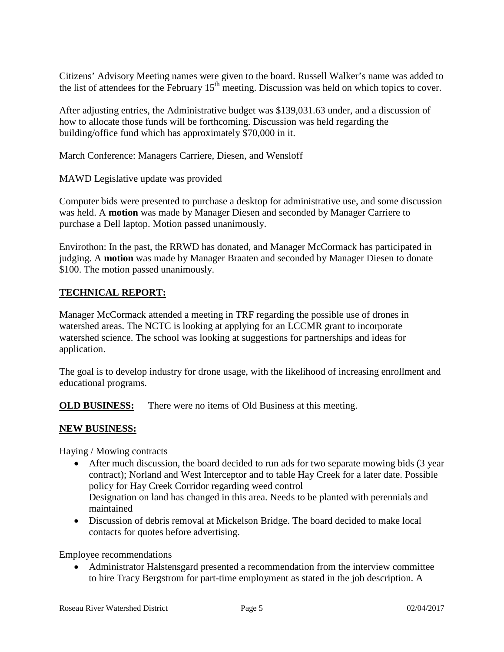Citizens' Advisory Meeting names were given to the board. Russell Walker's name was added to the list of attendees for the February  $15<sup>th</sup>$  meeting. Discussion was held on which topics to cover.

After adjusting entries, the Administrative budget was \$139,031.63 under, and a discussion of how to allocate those funds will be forthcoming. Discussion was held regarding the building/office fund which has approximately \$70,000 in it.

March Conference: Managers Carriere, Diesen, and Wensloff

MAWD Legislative update was provided

Computer bids were presented to purchase a desktop for administrative use, and some discussion was held. A **motion** was made by Manager Diesen and seconded by Manager Carriere to purchase a Dell laptop. Motion passed unanimously.

Envirothon: In the past, the RRWD has donated, and Manager McCormack has participated in judging. A **motion** was made by Manager Braaten and seconded by Manager Diesen to donate \$100. The motion passed unanimously.

# **TECHNICAL REPORT:**

Manager McCormack attended a meeting in TRF regarding the possible use of drones in watershed areas. The NCTC is looking at applying for an LCCMR grant to incorporate watershed science. The school was looking at suggestions for partnerships and ideas for application.

The goal is to develop industry for drone usage, with the likelihood of increasing enrollment and educational programs.

**OLD BUSINESS:** There were no items of Old Business at this meeting.

# **NEW BUSINESS:**

Haying / Mowing contracts

- After much discussion, the board decided to run ads for two separate mowing bids (3 year contract); Norland and West Interceptor and to table Hay Creek for a later date. Possible policy for Hay Creek Corridor regarding weed control Designation on land has changed in this area. Needs to be planted with perennials and maintained
- Discussion of debris removal at Mickelson Bridge. The board decided to make local contacts for quotes before advertising.

Employee recommendations

• Administrator Halstensgard presented a recommendation from the interview committee to hire Tracy Bergstrom for part-time employment as stated in the job description. A